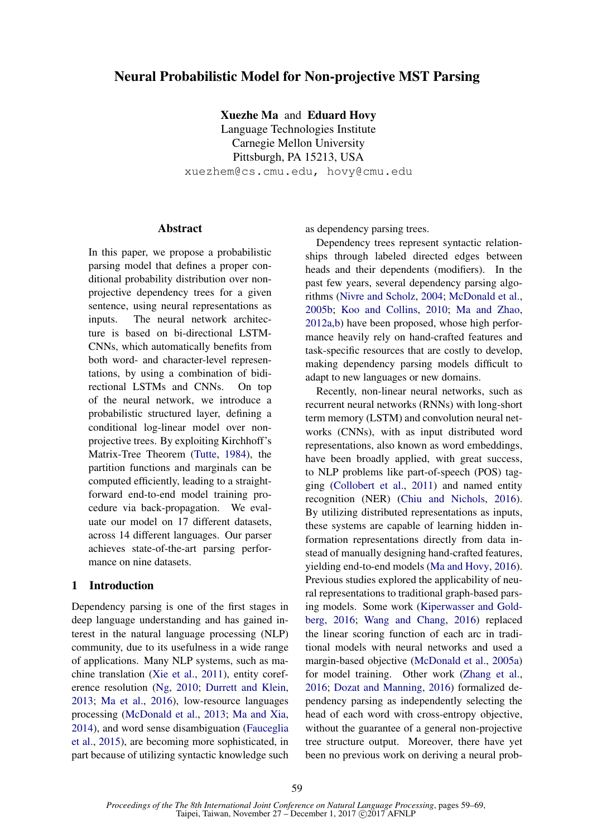# Neural Probabilistic Model for Non-projective MST Parsing

Xuezhe Ma and Eduard Hovy

Language Technologies Institute Carnegie Mellon University Pittsburgh, PA 15213, USA xuezhem@cs.cmu.edu, hovy@cmu.edu

## **Abstract**

In this paper, we propose a probabilistic parsing model that defines a proper conditional probability distribution over nonprojective dependency trees for a given sentence, using neural representations as inputs. The neural network architecture is based on bi-directional LSTM-CNNs, which automatically benefits from both word- and character-level representations, by using a combination of bidirectional LSTMs and CNNs. On top of the neural network, we introduce a probabilistic structured layer, defining a conditional log-linear model over nonprojective trees. By exploiting Kirchhoff's Matrix-Tree Theorem (Tutte, 1984), the partition functions and marginals can be computed efficiently, leading to a straightforward end-to-end model training procedure via back-propagation. We evaluate our model on 17 different datasets, across 14 different languages. Our parser achieves state-of-the-art parsing performance on nine datasets.

## 1 Introduction

Dependency parsing is one of the first stages in deep language understanding and has gained interest in the natural language processing (NLP) community, due to its usefulness in a wide range of applications. Many NLP systems, such as machine translation (Xie et al., 2011), entity coreference resolution (Ng, 2010; Durrett and Klein, 2013; Ma et al., 2016), low-resource languages processing (McDonald et al., 2013; Ma and Xia, 2014), and word sense disambiguation (Fauceglia et al., 2015), are becoming more sophisticated, in part because of utilizing syntactic knowledge such as dependency parsing trees.

Dependency trees represent syntactic relationships through labeled directed edges between heads and their dependents (modifiers). In the past few years, several dependency parsing algorithms (Nivre and Scholz, 2004; McDonald et al., 2005b; Koo and Collins, 2010; Ma and Zhao, 2012a,b) have been proposed, whose high performance heavily rely on hand-crafted features and task-specific resources that are costly to develop, making dependency parsing models difficult to adapt to new languages or new domains.

Recently, non-linear neural networks, such as recurrent neural networks (RNNs) with long-short term memory (LSTM) and convolution neural networks (CNNs), with as input distributed word representations, also known as word embeddings, have been broadly applied, with great success, to NLP problems like part-of-speech (POS) tagging (Collobert et al., 2011) and named entity recognition (NER) (Chiu and Nichols, 2016). By utilizing distributed representations as inputs, these systems are capable of learning hidden information representations directly from data instead of manually designing hand-crafted features, yielding end-to-end models (Ma and Hovy, 2016). Previous studies explored the applicability of neural representations to traditional graph-based parsing models. Some work (Kiperwasser and Goldberg, 2016; Wang and Chang, 2016) replaced the linear scoring function of each arc in traditional models with neural networks and used a margin-based objective (McDonald et al., 2005a) for model training. Other work (Zhang et al., 2016; Dozat and Manning, 2016) formalized dependency parsing as independently selecting the head of each word with cross-entropy objective, without the guarantee of a general non-projective tree structure output. Moreover, there have yet been no previous work on deriving a neural prob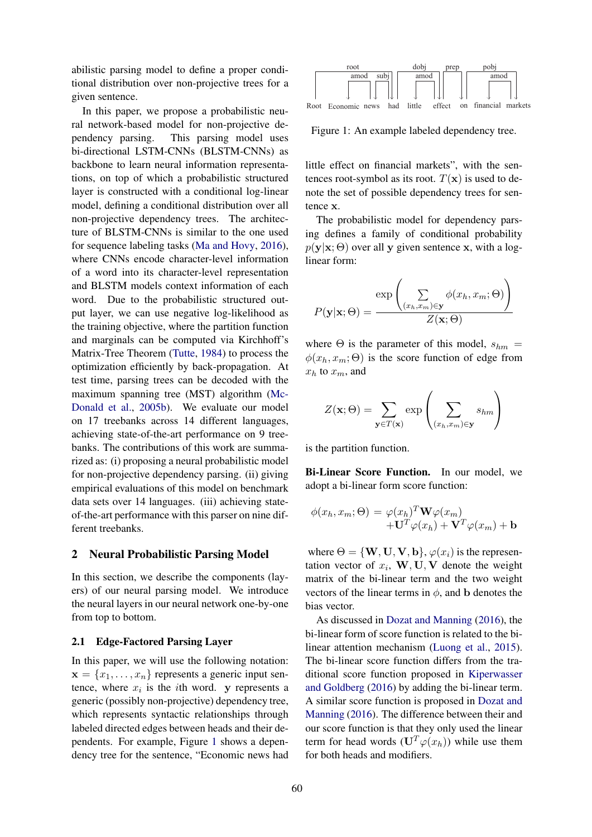abilistic parsing model to define a proper conditional distribution over non-projective trees for a given sentence.

In this paper, we propose a probabilistic neural network-based model for non-projective dependency parsing. This parsing model uses bi-directional LSTM-CNNs (BLSTM-CNNs) as backbone to learn neural information representations, on top of which a probabilistic structured layer is constructed with a conditional log-linear model, defining a conditional distribution over all non-projective dependency trees. The architecture of BLSTM-CNNs is similar to the one used for sequence labeling tasks (Ma and Hovy, 2016), where CNNs encode character-level information of a word into its character-level representation and BLSTM models context information of each word. Due to the probabilistic structured output layer, we can use negative log-likelihood as the training objective, where the partition function and marginals can be computed via Kirchhoff's Matrix-Tree Theorem (Tutte, 1984) to process the optimization efficiently by back-propagation. At test time, parsing trees can be decoded with the maximum spanning tree (MST) algorithm (Mc-Donald et al., 2005b). We evaluate our model on 17 treebanks across 14 different languages, achieving state-of-the-art performance on 9 treebanks. The contributions of this work are summarized as: (i) proposing a neural probabilistic model for non-projective dependency parsing. (ii) giving empirical evaluations of this model on benchmark data sets over 14 languages. (iii) achieving stateof-the-art performance with this parser on nine different treebanks.

#### 2 Neural Probabilistic Parsing Model

In this section, we describe the components (layers) of our neural parsing model. We introduce the neural layers in our neural network one-by-one from top to bottom.

#### 2.1 Edge-Factored Parsing Layer

In this paper, we will use the following notation:  $\mathbf{x} = \{x_1, \ldots, x_n\}$  represents a generic input sentence, where  $x_i$  is the *i*th word. y represents a generic (possibly non-projective) dependency tree, which represents syntactic relationships through labeled directed edges between heads and their dependents. For example, Figure 1 shows a dependency tree for the sentence, "Economic news had



Figure 1: An example labeled dependency tree.

little effect on financial markets", with the sentences root-symbol as its root.  $T(\mathbf{x})$  is used to denote the set of possible dependency trees for sentence x.

The probabilistic model for dependency parsing defines a family of conditional probability  $p(\mathbf{y}|\mathbf{x}; \Theta)$  over all y given sentence x, with a loglinear form:

$$
P(\mathbf{y}|\mathbf{x};\Theta) = \frac{\exp\left(\sum_{(x_h,x_m)\in\mathbf{y}} \phi(x_h,x_m;\Theta)\right)}{Z(\mathbf{x};\Theta)}
$$

where  $\Theta$  is the parameter of this model,  $s_{hm}$  =  $\phi(x_h, x_m; \Theta)$  is the score function of edge from  $x_h$  to  $x_m$ , and

$$
Z(\mathbf{x};\Theta) = \sum_{\mathbf{y} \in T(\mathbf{x})} \exp\left(\sum_{(x_h, x_m) \in \mathbf{y}} s_{hm}\right)
$$

is the partition function.

Bi-Linear Score Function. In our model, we adopt a bi-linear form score function:

$$
\phi(x_h, x_m; \Theta) = \varphi(x_h)^T \mathbf{W} \varphi(x_m)
$$

$$
+ \mathbf{U}^T \varphi(x_h) + \mathbf{V}^T \varphi(x_m) + \mathbf{b}
$$

where  $\Theta = {\bf{W, U, V, b}}, \varphi(x_i)$  is the representation vector of  $x_i$ ,  $W, U, V$  denote the weight matrix of the bi-linear term and the two weight vectors of the linear terms in  $\phi$ , and b denotes the bias vector.

As discussed in Dozat and Manning (2016), the bi-linear form of score function is related to the bilinear attention mechanism (Luong et al., 2015). The bi-linear score function differs from the traditional score function proposed in Kiperwasser and Goldberg (2016) by adding the bi-linear term. A similar score function is proposed in Dozat and Manning (2016). The difference between their and our score function is that they only used the linear term for head words  $(\mathbf{U}^T \varphi(x_h))$  while use them for both heads and modifiers.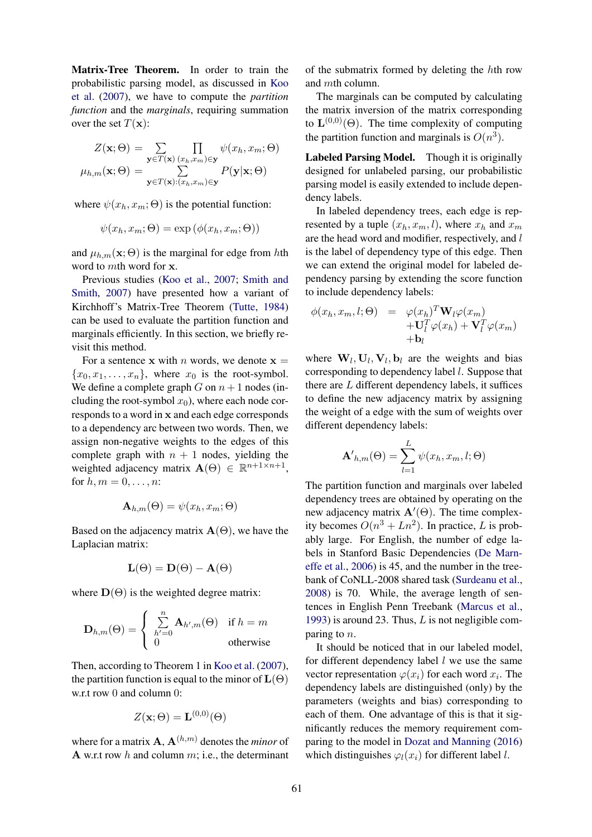Matrix-Tree Theorem. In order to train the probabilistic parsing model, as discussed in Koo et al. (2007), we have to compute the *partition function* and the *marginals*, requiring summation over the set  $T(\mathbf{x})$ :

$$
Z(\mathbf{x}; \Theta) = \sum_{\mathbf{y} \in T(\mathbf{x})} \prod_{(x_h, x_m) \in \mathbf{y}} \psi(x_h, x_m; \Theta)
$$

$$
\mu_{h,m}(\mathbf{x}; \Theta) = \sum_{\mathbf{y} \in T(\mathbf{x}):\ (x_h, x_m) \in \mathbf{y}} P(\mathbf{y}|\mathbf{x}; \Theta)
$$

where  $\psi(x_h, x_m; \Theta)$  is the potential function:

$$
\psi(x_h, x_m; \Theta) = \exp(\phi(x_h, x_m; \Theta))
$$

and  $\mu_{h,m}(\mathbf{x}; \Theta)$  is the marginal for edge from hth word to mth word for x.

Previous studies (Koo et al., 2007; Smith and Smith, 2007) have presented how a variant of Kirchhoff's Matrix-Tree Theorem (Tutte, 1984) can be used to evaluate the partition function and marginals efficiently. In this section, we briefly revisit this method.

For a sentence x with *n* words, we denote  $x =$  ${x_0, x_1, \ldots, x_n}$ , where  $x_0$  is the root-symbol. We define a complete graph G on  $n + 1$  nodes (including the root-symbol  $x_0$ ), where each node corresponds to a word in x and each edge corresponds to a dependency arc between two words. Then, we assign non-negative weights to the edges of this complete graph with  $n + 1$  nodes, yielding the weighted adjacency matrix  $\mathbf{A}(\Theta) \in \mathbb{R}^{n+1 \times n+1}$ , for  $h, m = 0, \ldots, n$ :

$$
\mathbf{A}_{h,m}(\Theta) = \psi(x_h, x_m; \Theta)
$$

Based on the adjacency matrix  $\mathbf{A}(\Theta)$ , we have the Laplacian matrix:

$$
\mathbf{L}(\Theta)=\mathbf{D}(\Theta)-\mathbf{A}(\Theta)
$$

where  $D(\Theta)$  is the weighted degree matrix:

$$
\mathbf{D}_{h,m}(\Theta) = \begin{cases} \sum_{h'=0}^{n} \mathbf{A}_{h',m}(\Theta) & \text{if } h = m \\ 0 & \text{otherwise} \end{cases}
$$

Then, according to Theorem 1 in Koo et al. (2007), the partition function is equal to the minor of  $\mathbf{L}(\Theta)$ w.r.t row 0 and column 0:

$$
Z(\mathbf{x};\Theta) = \mathbf{L}^{(0,0)}(\Theta)
$$

where for a matrix  $\mathbf{A}, \mathbf{A}^{(h,m)}$  denotes the *minor* of A w.r.t row  $h$  and column  $m$ ; i.e., the determinant

of the submatrix formed by deleting the hth row and mth column.

The marginals can be computed by calculating the matrix inversion of the matrix corresponding to  $\mathbf{L}^{(0,0)}(\Theta)$ . The time complexity of computing the partition function and marginals is  $O(n^3)$ .

Labeled Parsing Model. Though it is originally designed for unlabeled parsing, our probabilistic parsing model is easily extended to include dependency labels.

In labeled dependency trees, each edge is represented by a tuple  $(x_h, x_m, l)$ , where  $x_h$  and  $x_m$ are the head word and modifier, respectively, and l is the label of dependency type of this edge. Then we can extend the original model for labeled dependency parsing by extending the score function to include dependency labels:

$$
\begin{array}{rcl}\n\phi(x_h, x_m, l; \Theta) & = & \varphi(x_h)^T \mathbf{W}_l \varphi(x_m) \\
& & + \mathbf{U}_l^T \varphi(x_h) + \mathbf{V}_l^T \varphi(x_m) \\
& & + \mathbf{b}_l\n\end{array}
$$

where  $W_l$ ,  $U_l$ ,  $V_l$ ,  $b_l$  are the weights and bias corresponding to dependency label l. Suppose that there are  $L$  different dependency labels, it suffices to define the new adjacency matrix by assigning the weight of a edge with the sum of weights over different dependency labels:

$$
\mathbf{A'}_{h,m}(\Theta) = \sum_{l=1}^{L} \psi(x_h, x_m, l; \Theta)
$$

The partition function and marginals over labeled dependency trees are obtained by operating on the new adjacency matrix  $\mathbf{A}'(\Theta)$ . The time complexity becomes  $O(n^3 + Ln^2)$ . In practice, L is probably large. For English, the number of edge labels in Stanford Basic Dependencies (De Marneffe et al., 2006) is 45, and the number in the treebank of CoNLL-2008 shared task (Surdeanu et al., 2008) is 70. While, the average length of sentences in English Penn Treebank (Marcus et al., 1993) is around 23. Thus,  $L$  is not negligible comparing to  $n$ .

It should be noticed that in our labeled model, for different dependency label  $l$  we use the same vector representation  $\varphi(x_i)$  for each word  $x_i$ . The dependency labels are distinguished (only) by the parameters (weights and bias) corresponding to each of them. One advantage of this is that it significantly reduces the memory requirement comparing to the model in Dozat and Manning (2016) which distinguishes  $\varphi_l(x_i)$  for different label l.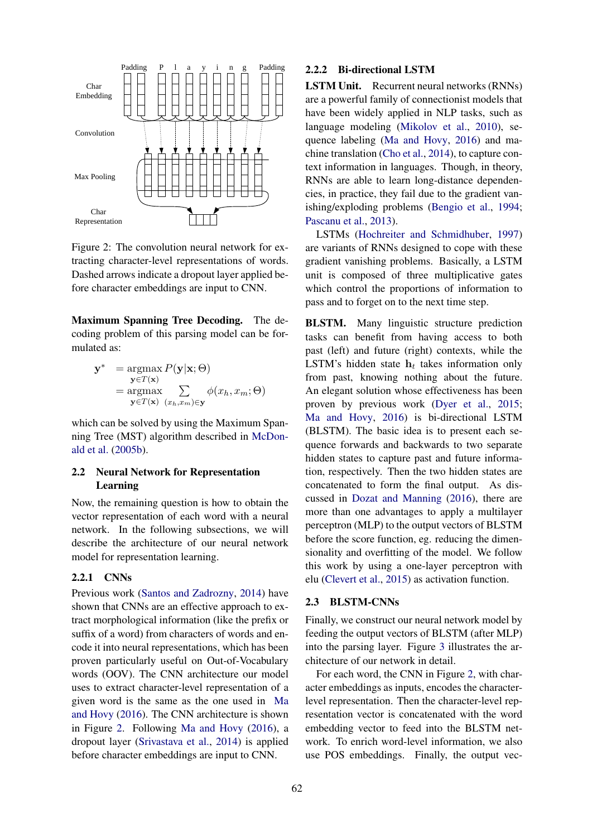

Figure 2: The convolution neural network for extracting character-level representations of words. Dashed arrows indicate a dropout layer applied before character embeddings are input to CNN.

Maximum Spanning Tree Decoding. The decoding problem of this parsing model can be formulated as:

$$
\mathbf{y}^* = \underset{\mathbf{y} \in T(\mathbf{x})}{\operatorname{argmax}} P(\mathbf{y}|\mathbf{x}; \Theta) \n= \underset{\mathbf{y} \in T(\mathbf{x})}{\operatorname{argmax}} \sum_{(x_h, x_m) \in \mathbf{y}} \phi(x_h, x_m; \Theta)
$$

which can be solved by using the Maximum Spanning Tree (MST) algorithm described in McDonald et al. (2005b).

## 2.2 Neural Network for Representation Learning

Now, the remaining question is how to obtain the vector representation of each word with a neural network. In the following subsections, we will describe the architecture of our neural network model for representation learning.

## 2.2.1 CNNs

Previous work (Santos and Zadrozny, 2014) have shown that CNNs are an effective approach to extract morphological information (like the prefix or suffix of a word) from characters of words and encode it into neural representations, which has been proven particularly useful on Out-of-Vocabulary words (OOV). The CNN architecture our model uses to extract character-level representation of a given word is the same as the one used in Ma and Hovy (2016). The CNN architecture is shown in Figure 2. Following Ma and Hovy (2016), a dropout layer (Srivastava et al., 2014) is applied before character embeddings are input to CNN.

## 2.2.2 Bi-directional LSTM

LSTM Unit. Recurrent neural networks (RNNs) are a powerful family of connectionist models that have been widely applied in NLP tasks, such as language modeling (Mikolov et al., 2010), sequence labeling (Ma and Hovy, 2016) and machine translation (Cho et al., 2014), to capture context information in languages. Though, in theory, RNNs are able to learn long-distance dependencies, in practice, they fail due to the gradient vanishing/exploding problems (Bengio et al., 1994; Pascanu et al., 2013).

LSTMs (Hochreiter and Schmidhuber, 1997) are variants of RNNs designed to cope with these gradient vanishing problems. Basically, a LSTM unit is composed of three multiplicative gates which control the proportions of information to pass and to forget on to the next time step.

BLSTM. Many linguistic structure prediction tasks can benefit from having access to both past (left) and future (right) contexts, while the LSTM's hidden state  $h_t$  takes information only from past, knowing nothing about the future. An elegant solution whose effectiveness has been proven by previous work (Dyer et al., 2015; Ma and Hovy, 2016) is bi-directional LSTM (BLSTM). The basic idea is to present each sequence forwards and backwards to two separate hidden states to capture past and future information, respectively. Then the two hidden states are concatenated to form the final output. As discussed in Dozat and Manning (2016), there are more than one advantages to apply a multilayer perceptron (MLP) to the output vectors of BLSTM before the score function, eg. reducing the dimensionality and overfitting of the model. We follow this work by using a one-layer perceptron with elu (Clevert et al., 2015) as activation function.

#### 2.3 BLSTM-CNNs

Finally, we construct our neural network model by feeding the output vectors of BLSTM (after MLP) into the parsing layer. Figure 3 illustrates the architecture of our network in detail.

For each word, the CNN in Figure 2, with character embeddings as inputs, encodes the characterlevel representation. Then the character-level representation vector is concatenated with the word embedding vector to feed into the BLSTM network. To enrich word-level information, we also use POS embeddings. Finally, the output vec-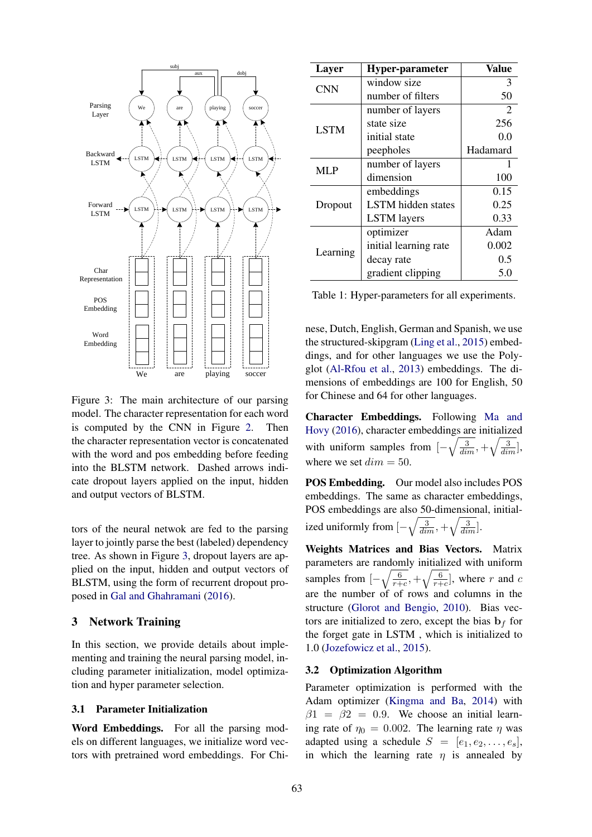

Figure 3: The main architecture of our parsing model. The character representation for each word is computed by the CNN in Figure 2. Then the character representation vector is concatenated with the word and pos embedding before feeding into the BLSTM network. Dashed arrows indicate dropout layers applied on the input, hidden and output vectors of BLSTM.

tors of the neural netwok are fed to the parsing layer to jointly parse the best (labeled) dependency tree. As shown in Figure 3, dropout layers are applied on the input, hidden and output vectors of BLSTM, using the form of recurrent dropout proposed in Gal and Ghahramani (2016).

## 3 Network Training

In this section, we provide details about implementing and training the neural parsing model, including parameter initialization, model optimization and hyper parameter selection.

#### 3.1 Parameter Initialization

Word Embeddings. For all the parsing models on different languages, we initialize word vectors with pretrained word embeddings. For Chi-

| Layer       | <b>Hyper-parameter</b>    | Value          |
|-------------|---------------------------|----------------|
| <b>CNN</b>  | window size               | 3              |
|             | number of filters         | 50             |
|             | number of layers          | $\overline{2}$ |
| <b>LSTM</b> | state size                | 256            |
|             | initial state             | 0.0            |
|             | peepholes                 | Hadamard       |
| <b>MLP</b>  | number of layers          |                |
|             | dimension                 | 100            |
|             | embeddings                | 0.15           |
| Dropout     | <b>LSTM</b> hidden states | 0.25           |
|             | <b>LSTM</b> layers        | 0.33           |
|             | optimizer                 | Adam           |
| Learning    | initial learning rate     | 0.002          |
|             | decay rate                | 0.5            |
|             | gradient clipping         | 5.0            |

Table 1: Hyper-parameters for all experiments.

nese, Dutch, English, German and Spanish, we use the structured-skipgram (Ling et al., 2015) embeddings, and for other languages we use the Polyglot (Al-Rfou et al., 2013) embeddings. The dimensions of embeddings are 100 for English, 50 for Chinese and 64 for other languages.

Character Embeddings. Following Ma and Hovy (2016), character embeddings are initialized with uniform samples from  $\left[-\sqrt{\frac{3}{dim}}\right, +\sqrt{\frac{3}{dim}}\right]$ , where we set  $dim = 50$ .

POS Embedding. Our model also includes POS embeddings. The same as character embeddings, POS embeddings are also 50-dimensional, initialized uniformly from  $\left[-\sqrt{\frac{3}{dim}}\right, +\sqrt{\frac{3}{dim}}\right]$ .

Weights Matrices and Bias Vectors. Matrix parameters are randomly initialized with uniform samples from  $\left[-\sqrt{\frac{6}{r+c}},+\sqrt{\frac{6}{r+c}}\right]$ , where r and c are the number of of rows and columns in the structure (Glorot and Bengio, 2010). Bias vectors are initialized to zero, except the bias  $\mathbf{b}_f$  for the forget gate in LSTM , which is initialized to 1.0 (Jozefowicz et al., 2015).

## 3.2 Optimization Algorithm

Parameter optimization is performed with the Adam optimizer (Kingma and Ba, 2014) with  $\beta$ 1 =  $\beta$ 2 = 0.9. We choose an initial learning rate of  $\eta_0 = 0.002$ . The learning rate  $\eta$  was adapted using a schedule  $S = [e_1, e_2, \ldots, e_s],$ in which the learning rate  $\eta$  is annealed by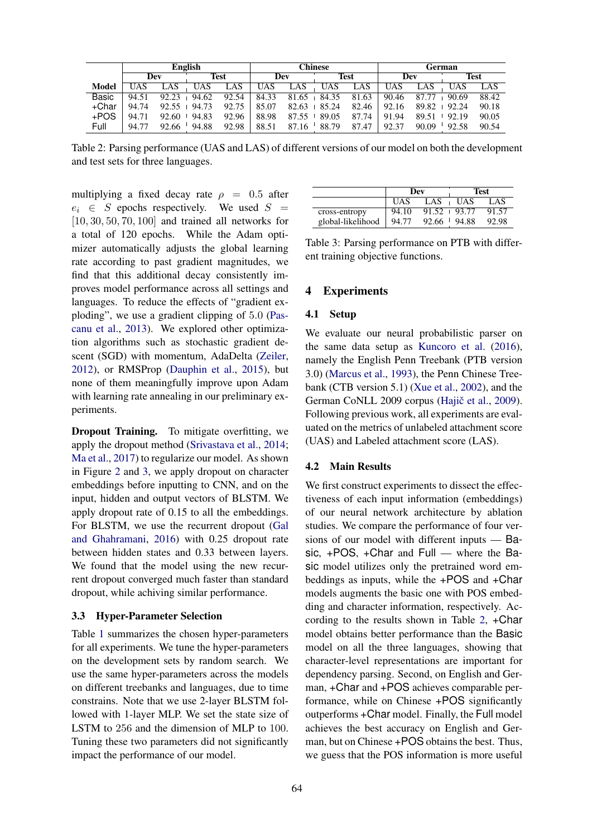|              | English |       |             |       | Chinese |       |             |       | German |       |             |       |
|--------------|---------|-------|-------------|-------|---------|-------|-------------|-------|--------|-------|-------------|-------|
|              | Dev     |       | <b>Test</b> |       | Dev     |       | <b>Test</b> |       | Dev    |       | <b>Test</b> |       |
| <b>Model</b> | UAS     | _AS   | UAS         | LAS   | JĀS.    | LAS   | <b>UAS</b>  | LAS   | UAS    | LAS   | UAS         | LAS   |
| <b>Basic</b> | 94.51   | 92.23 | 94.62       | 92.54 | 84.33   | 81.65 | 84.35       | 81.63 | 90.46  | 87.77 | 90.69       | 88.42 |
| +Char        | 94.74   | 92.55 | 94.73       | 92.75 | 85.07   | 82.63 | 85.24       | 82.46 | 92.16  | 89.82 | 92.24       | 90.18 |
| $+POS$       | 94.71   | 92.60 | 94.83       | 92.96 | 88.98   | 87.55 | 89.05       | 87.74 | 91.94  | 89.51 | 92.19       | 90.05 |
| Full         | 94.77   | 92.66 | 94.88       | 92.98 | 88.51   | 87.16 | 88.79       | 87.47 | 92.37  | 90.09 | 92.58       | 90.54 |

Table 2: Parsing performance (UAS and LAS) of different versions of our model on both the development and test sets for three languages.

multiplying a fixed decay rate  $\rho = 0.5$  after  $e_i \in S$  epochs respectively. We used  $S =$  $[10, 30, 50, 70, 100]$  and trained all networks for a total of 120 epochs. While the Adam optimizer automatically adjusts the global learning rate according to past gradient magnitudes, we find that this additional decay consistently improves model performance across all settings and languages. To reduce the effects of "gradient exploding", we use a gradient clipping of 5.0 (Pascanu et al., 2013). We explored other optimization algorithms such as stochastic gradient descent (SGD) with momentum, AdaDelta (Zeiler, 2012), or RMSProp (Dauphin et al., 2015), but none of them meaningfully improve upon Adam with learning rate annealing in our preliminary experiments.

Dropout Training. To mitigate overfitting, we apply the dropout method (Srivastava et al., 2014; Ma et al., 2017) to regularize our model. As shown in Figure 2 and 3, we apply dropout on character embeddings before inputting to CNN, and on the input, hidden and output vectors of BLSTM. We apply dropout rate of 0.15 to all the embeddings. For BLSTM, we use the recurrent dropout (Gal and Ghahramani, 2016) with 0.25 dropout rate between hidden states and 0.33 between layers. We found that the model using the new recurrent dropout converged much faster than standard dropout, while achiving similar performance.

## 3.3 Hyper-Parameter Selection

Table 1 summarizes the chosen hyper-parameters for all experiments. We tune the hyper-parameters on the development sets by random search. We use the same hyper-parameters across the models on different treebanks and languages, due to time constrains. Note that we use 2-layer BLSTM followed with 1-layer MLP. We set the state size of LSTM to 256 and the dimension of MLP to 100. Tuning these two parameters did not significantly impact the performance of our model.

|                   |       | Dev             | Test        |       |  |
|-------------------|-------|-----------------|-------------|-------|--|
|                   | UAS   | LAS             | <b>IJAS</b> | LAS   |  |
| cross-entropy     | 94.10 | $91.52 + 93.77$ |             | 91.57 |  |
| global-likelihood | 94.77 | 92.66           | 94.88       | 92.98 |  |

Table 3: Parsing performance on PTB with different training objective functions.

## 4 Experiments

#### 4.1 Setup

We evaluate our neural probabilistic parser on the same data setup as Kuncoro et al. (2016), namely the English Penn Treebank (PTB version 3.0) (Marcus et al., 1993), the Penn Chinese Treebank (CTB version 5.1) (Xue et al., 2002), and the German CoNLL 2009 corpus (Hajič et al., 2009). Following previous work, all experiments are evaluated on the metrics of unlabeled attachment score (UAS) and Labeled attachment score (LAS).

## 4.2 Main Results

We first construct experiments to dissect the effectiveness of each input information (embeddings) of our neural network architecture by ablation studies. We compare the performance of four versions of our model with different inputs — Basic, +POS, +Char and Full — where the Basic model utilizes only the pretrained word embeddings as inputs, while the +POS and +Char models augments the basic one with POS embedding and character information, respectively. According to the results shown in Table 2, +Char model obtains better performance than the Basic model on all the three languages, showing that character-level representations are important for dependency parsing. Second, on English and German, +Char and +POS achieves comparable performance, while on Chinese +POS significantly outperforms +Char model. Finally, the Full model achieves the best accuracy on English and German, but on Chinese +POS obtains the best. Thus, we guess that the POS information is more useful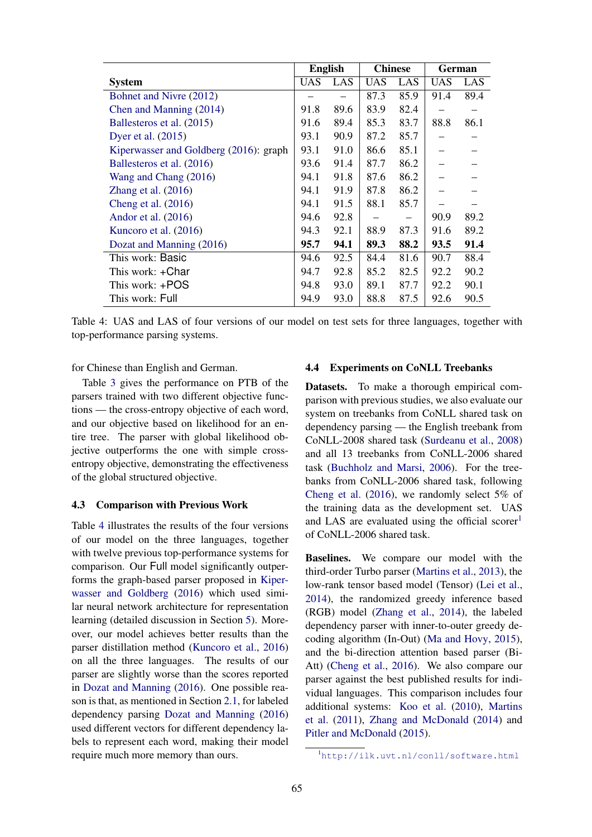|                                        | <b>English</b> |      | <b>Chinese</b> |      | German     |      |
|----------------------------------------|----------------|------|----------------|------|------------|------|
| <b>System</b>                          | UAS            | LAS  | <b>UAS</b>     | LAS  | <b>UAS</b> | LAS  |
| Bohnet and Nivre (2012)                |                |      | 87.3           | 85.9 | 91.4       | 89.4 |
| Chen and Manning (2014)                | 91.8           | 89.6 | 83.9           | 82.4 |            |      |
| Ballesteros et al. (2015)              | 91.6           | 89.4 | 85.3           | 83.7 | 88.8       | 86.1 |
| Dyer et al. $(2015)$                   | 93.1           | 90.9 | 87.2           | 85.7 |            |      |
| Kiperwasser and Goldberg (2016): graph | 93.1           | 91.0 | 86.6           | 85.1 |            |      |
| Ballesteros et al. (2016)              | 93.6           | 91.4 | 87.7           | 86.2 |            |      |
| Wang and Chang (2016)                  | 94.1           | 91.8 | 87.6           | 86.2 |            |      |
| Zhang et al. (2016)                    | 94.1           | 91.9 | 87.8           | 86.2 |            |      |
| Cheng et al. $(2016)$                  | 94.1           | 91.5 | 88.1           | 85.7 |            |      |
| Andor et al. (2016)                    | 94.6           | 92.8 |                |      | 90.9       | 89.2 |
| Kuncoro et al. (2016)                  | 94.3           | 92.1 | 88.9           | 87.3 | 91.6       | 89.2 |
| Dozat and Manning (2016)               | 95.7           | 94.1 | 89.3           | 88.2 | 93.5       | 91.4 |
| This work: Basic                       | 94.6           | 92.5 | 84.4           | 81.6 | 90.7       | 88.4 |
| This work: +Char                       | 94.7           | 92.8 | 85.2           | 82.5 | 92.2       | 90.2 |
| This work: +POS                        | 94.8           | 93.0 | 89.1           | 87.7 | 92.2       | 90.1 |
| This work: Full                        | 94.9           | 93.0 | 88.8           | 87.5 | 92.6       | 90.5 |

Table 4: UAS and LAS of four versions of our model on test sets for three languages, together with top-performance parsing systems.

for Chinese than English and German.

Table 3 gives the performance on PTB of the parsers trained with two different objective functions — the cross-entropy objective of each word, and our objective based on likelihood for an entire tree. The parser with global likelihood objective outperforms the one with simple crossentropy objective, demonstrating the effectiveness of the global structured objective.

#### 4.3 Comparison with Previous Work

Table 4 illustrates the results of the four versions of our model on the three languages, together with twelve previous top-performance systems for comparison. Our Full model significantly outperforms the graph-based parser proposed in Kiperwasser and Goldberg (2016) which used similar neural network architecture for representation learning (detailed discussion in Section 5). Moreover, our model achieves better results than the parser distillation method (Kuncoro et al., 2016) on all the three languages. The results of our parser are slightly worse than the scores reported in Dozat and Manning (2016). One possible reason is that, as mentioned in Section 2.1, for labeled dependency parsing Dozat and Manning (2016) used different vectors for different dependency labels to represent each word, making their model require much more memory than ours.

#### 4.4 Experiments on CoNLL Treebanks

Datasets. To make a thorough empirical comparison with previous studies, we also evaluate our system on treebanks from CoNLL shared task on dependency parsing — the English treebank from CoNLL-2008 shared task (Surdeanu et al., 2008) and all 13 treebanks from CoNLL-2006 shared task (Buchholz and Marsi, 2006). For the treebanks from CoNLL-2006 shared task, following Cheng et al. (2016), we randomly select 5% of the training data as the development set. UAS and LAS are evaluated using the official scorer<sup>1</sup> of CoNLL-2006 shared task.

Baselines. We compare our model with the third-order Turbo parser (Martins et al., 2013), the low-rank tensor based model (Tensor) (Lei et al., 2014), the randomized greedy inference based (RGB) model (Zhang et al., 2014), the labeled dependency parser with inner-to-outer greedy decoding algorithm (In-Out) (Ma and Hovy, 2015), and the bi-direction attention based parser (Bi-Att) (Cheng et al., 2016). We also compare our parser against the best published results for individual languages. This comparison includes four additional systems: Koo et al. (2010), Martins et al. (2011), Zhang and McDonald (2014) and Pitler and McDonald (2015).

<sup>1</sup>http://ilk.uvt.nl/conll/software.html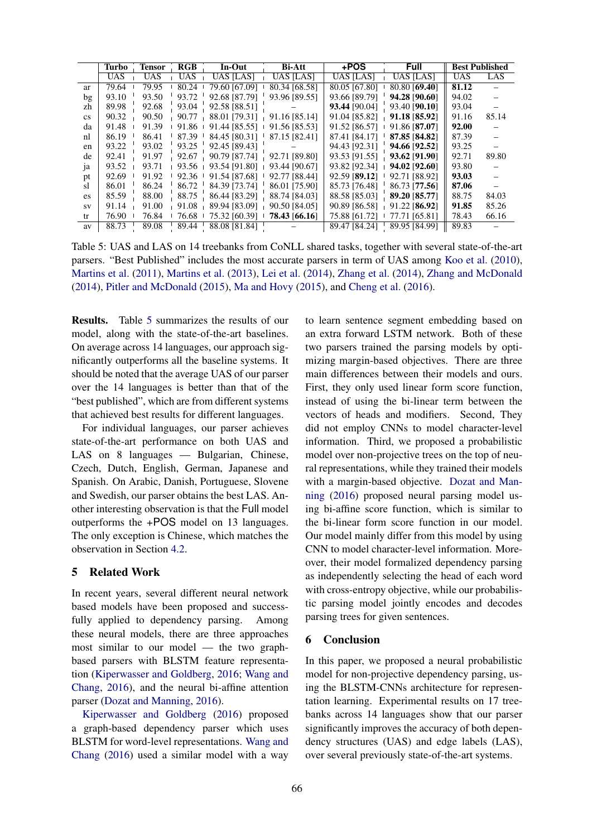|           | <b>Turbo</b> | <b>Tensor</b> | <b>RGB</b> | In-Out           | <b>Bi-Att</b>    | +POS          | <b>Full</b>      | <b>Best Published</b> |       |
|-----------|--------------|---------------|------------|------------------|------------------|---------------|------------------|-----------------------|-------|
|           | <b>UAS</b>   | <b>UAS</b>    | <b>UAS</b> | <b>UAS [LAS]</b> | <b>UAS [LAS]</b> | UAS [LAS]     | <b>UAS [LAS]</b> | <b>UAS</b>            | LAS   |
| ar        | 79.64        | 79.95         | 80.24      | 79.60 [67.09]    | 80.34 [68.58]    | 80.05 [67.80] | 80.80 [69.40]    | 81.12                 |       |
| bg        | 93.10        | 93.50         | 93.72      | 92.68 [87.79]    | 93.96 [89.55]    | 93.66 [89.79] | 94.28 [90.60]    | 94.02                 |       |
| zh        | 89.98        | 92.68         | 93.04      | 92.58 [88.51]    |                  | 93.44 [90.04] | 93.40 [90.10]    | 93.04                 |       |
| <b>CS</b> | 90.32        | 90.50         | 90.77      | 88.01 [79.31]    | 91.16 [85.14]    | 91.04 [85.82] | 91.18 [85.92]    | 91.16                 | 85.14 |
| da        | 91.48        | 91.39         | 91.86      | 91.44 [85.55]    | 91.56 [85.53]    | 91.52 [86.57] | 91.86 [87.07]    | 92.00                 |       |
| nl        | 86.19        | 86.41         | 87.39      | 84.45 [80.31]    | 87.15 [82.41]    | 87.41 [84.17] | 87.85 [84.82]    | 87.39                 |       |
| en        | 93.22        | 93.02         | 93.25      | 92.45 [89.43]    |                  | 94.43 [92.31] | 94.66 [92.52]    | 93.25                 |       |
| de        | 92.41        | 91.97         | 92.67      | 90.79 [87.74]    | 92.71 [89.80]    | 93.53 [91.55] | 93.62 [91.90]    | 92.71                 | 89.80 |
| ja        | 93.52        | 93.71         | 93.56      | 93.54 [91.80]    | 93.44 [90.67]    | 93.82 [92.34] | 94.02 [92.60]    | 93.80                 |       |
| pt        | 92.69        | 91.92         | 92.36      | 91.54 [87.68]    | 92.77 [88.44]    | 92.59 [89.12] | 92.71 [88.92]    | 93.03                 |       |
| sl        | 86.01        | 86.24         | 86.72      | 84.39 [73.74]    | 86.01 [75.90]    | 85.73 [76.48] | 86.73 [77.56]    | 87.06                 |       |
| es.       | 85.59        | 88.00         | 88.75      | 86.44 [83.29]    | 88.74 [84.03]    | 88.58 [85.03] | 89.20 [85.77]    | 88.75                 | 84.03 |
| SV        | 91.14        | 91.00         | 91.08      | 89.94 [83.09]    | 90.50 [84.05]    | 90.89 [86.58] | 91.22 [86.92]    | 91.85                 | 85.26 |
| tr        | 76.90        | 76.84         | 76.68      | 75.32 [60.39]    | 78.43 [66.16]    | 75.88 [61.72] | 77.71 [65.81]    | 78.43                 | 66.16 |
| av        | 88.73        | 89.08         | 89.44      | 88.08 [81.84]    |                  | 89.47 [84.24] | 89.95 [84.99]    | 89.83                 |       |

Table 5: UAS and LAS on 14 treebanks from CoNLL shared tasks, together with several state-of-the-art parsers. "Best Published" includes the most accurate parsers in term of UAS among Koo et al. (2010), Martins et al. (2011), Martins et al. (2013), Lei et al. (2014), Zhang et al. (2014), Zhang and McDonald (2014), Pitler and McDonald (2015), Ma and Hovy (2015), and Cheng et al. (2016).

Results. Table 5 summarizes the results of our model, along with the state-of-the-art baselines. On average across 14 languages, our approach significantly outperforms all the baseline systems. It should be noted that the average UAS of our parser over the 14 languages is better than that of the "best published", which are from different systems that achieved best results for different languages.

For individual languages, our parser achieves state-of-the-art performance on both UAS and LAS on 8 languages — Bulgarian, Chinese, Czech, Dutch, English, German, Japanese and Spanish. On Arabic, Danish, Portuguese, Slovene and Swedish, our parser obtains the best LAS. Another interesting observation is that the Full model outperforms the +POS model on 13 languages. The only exception is Chinese, which matches the observation in Section 4.2.

## 5 Related Work

In recent years, several different neural network based models have been proposed and successfully applied to dependency parsing. Among these neural models, there are three approaches most similar to our model — the two graphbased parsers with BLSTM feature representation (Kiperwasser and Goldberg, 2016; Wang and Chang, 2016), and the neural bi-affine attention parser (Dozat and Manning, 2016).

Kiperwasser and Goldberg (2016) proposed a graph-based dependency parser which uses BLSTM for word-level representations. Wang and Chang (2016) used a similar model with a way

to learn sentence segment embedding based on an extra forward LSTM network. Both of these two parsers trained the parsing models by optimizing margin-based objectives. There are three main differences between their models and ours. First, they only used linear form score function, instead of using the bi-linear term between the vectors of heads and modifiers. Second, They did not employ CNNs to model character-level information. Third, we proposed a probabilistic model over non-projective trees on the top of neural representations, while they trained their models with a margin-based objective. Dozat and Manning (2016) proposed neural parsing model using bi-affine score function, which is similar to the bi-linear form score function in our model. Our model mainly differ from this model by using CNN to model character-level information. Moreover, their model formalized dependency parsing as independently selecting the head of each word with cross-entropy objective, while our probabilistic parsing model jointly encodes and decodes parsing trees for given sentences.

## 6 Conclusion

In this paper, we proposed a neural probabilistic model for non-projective dependency parsing, using the BLSTM-CNNs architecture for representation learning. Experimental results on 17 treebanks across 14 languages show that our parser significantly improves the accuracy of both dependency structures (UAS) and edge labels (LAS), over several previously state-of-the-art systems.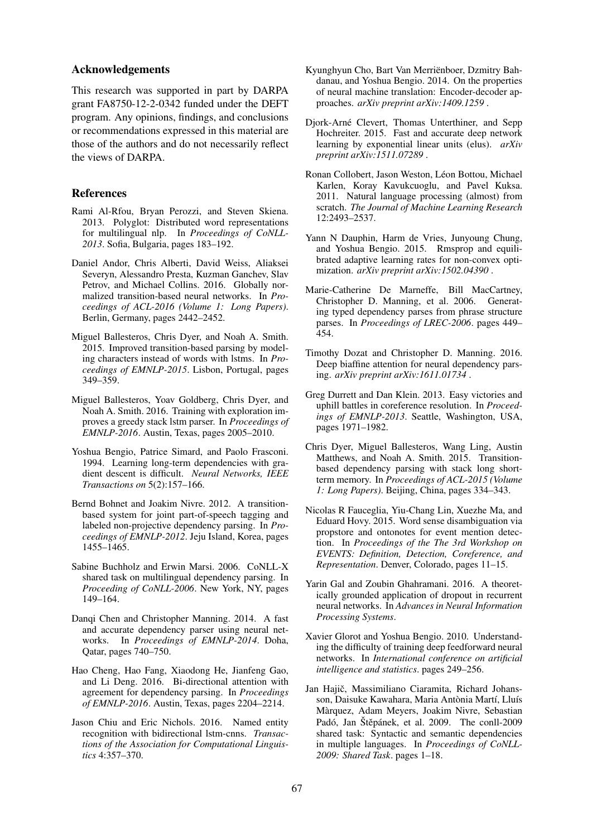#### Acknowledgements

This research was supported in part by DARPA grant FA8750-12-2-0342 funded under the DEFT program. Any opinions, findings, and conclusions or recommendations expressed in this material are those of the authors and do not necessarily reflect the views of DARPA.

#### References

- Rami Al-Rfou, Bryan Perozzi, and Steven Skiena. 2013. Polyglot: Distributed word representations for multilingual nlp. In *Proceedings of CoNLL-2013*. Sofia, Bulgaria, pages 183–192.
- Daniel Andor, Chris Alberti, David Weiss, Aliaksei Severyn, Alessandro Presta, Kuzman Ganchev, Slav Petrov, and Michael Collins. 2016. Globally normalized transition-based neural networks. In *Proceedings of ACL-2016 (Volume 1: Long Papers)*. Berlin, Germany, pages 2442–2452.
- Miguel Ballesteros, Chris Dyer, and Noah A. Smith. 2015. Improved transition-based parsing by modeling characters instead of words with lstms. In *Proceedings of EMNLP-2015*. Lisbon, Portugal, pages 349–359.
- Miguel Ballesteros, Yoav Goldberg, Chris Dyer, and Noah A. Smith. 2016. Training with exploration improves a greedy stack lstm parser. In *Proceedings of EMNLP-2016*. Austin, Texas, pages 2005–2010.
- Yoshua Bengio, Patrice Simard, and Paolo Frasconi. 1994. Learning long-term dependencies with gradient descent is difficult. *Neural Networks, IEEE Transactions on* 5(2):157–166.
- Bernd Bohnet and Joakim Nivre. 2012. A transitionbased system for joint part-of-speech tagging and labeled non-projective dependency parsing. In *Proceedings of EMNLP-2012*. Jeju Island, Korea, pages 1455–1465.
- Sabine Buchholz and Erwin Marsi. 2006. CoNLL-X shared task on multilingual dependency parsing. In *Proceeding of CoNLL-2006*. New York, NY, pages 149–164.
- Danqi Chen and Christopher Manning. 2014. A fast and accurate dependency parser using neural networks. In *Proceedings of EMNLP-2014*. Doha, Qatar, pages 740–750.
- Hao Cheng, Hao Fang, Xiaodong He, Jianfeng Gao, and Li Deng. 2016. Bi-directional attention with agreement for dependency parsing. In *Proceedings of EMNLP-2016*. Austin, Texas, pages 2204–2214.
- Jason Chiu and Eric Nichols. 2016. Named entity recognition with bidirectional lstm-cnns. *Transactions of the Association for Computational Linguistics* 4:357–370.
- Kyunghyun Cho, Bart Van Merrienboer, Dzmitry Bah- ¨ danau, and Yoshua Bengio. 2014. On the properties of neural machine translation: Encoder-decoder approaches. *arXiv preprint arXiv:1409.1259* .
- Djork-Arne Clevert, Thomas Unterthiner, and Sepp ´ Hochreiter. 2015. Fast and accurate deep network learning by exponential linear units (elus). *arXiv preprint arXiv:1511.07289* .
- Ronan Collobert, Jason Weston, Léon Bottou, Michael Karlen, Koray Kavukcuoglu, and Pavel Kuksa. 2011. Natural language processing (almost) from scratch. *The Journal of Machine Learning Research* 12:2493–2537.
- Yann N Dauphin, Harm de Vries, Junyoung Chung, and Yoshua Bengio. 2015. Rmsprop and equilibrated adaptive learning rates for non-convex optimization. *arXiv preprint arXiv:1502.04390* .
- Marie-Catherine De Marneffe, Bill MacCartney, Christopher D. Manning, et al. 2006. Generating typed dependency parses from phrase structure parses. In *Proceedings of LREC-2006*. pages 449– 454.
- Timothy Dozat and Christopher D. Manning. 2016. Deep biaffine attention for neural dependency parsing. *arXiv preprint arXiv:1611.01734* .
- Greg Durrett and Dan Klein. 2013. Easy victories and uphill battles in coreference resolution. In *Proceedings of EMNLP-2013*. Seattle, Washington, USA, pages 1971–1982.
- Chris Dyer, Miguel Ballesteros, Wang Ling, Austin Matthews, and Noah A. Smith. 2015. Transitionbased dependency parsing with stack long shortterm memory. In *Proceedings of ACL-2015 (Volume 1: Long Papers)*. Beijing, China, pages 334–343.
- Nicolas R Fauceglia, Yiu-Chang Lin, Xuezhe Ma, and Eduard Hovy. 2015. Word sense disambiguation via propstore and ontonotes for event mention detection. In *Proceedings of the The 3rd Workshop on EVENTS: Definition, Detection, Coreference, and Representation*. Denver, Colorado, pages 11–15.
- Yarin Gal and Zoubin Ghahramani. 2016. A theoretically grounded application of dropout in recurrent neural networks. In *Advances in Neural Information Processing Systems*.
- Xavier Glorot and Yoshua Bengio. 2010. Understanding the difficulty of training deep feedforward neural networks. In *International conference on artificial intelligence and statistics*. pages 249–256.
- Jan Hajič, Massimiliano Ciaramita, Richard Johansson, Daisuke Kawahara, Maria Antònia Martí, Lluís Marquez, Adam Meyers, Joakim Nivre, Sebastian ` Padó, Jan Štěpánek, et al. 2009. The conll-2009 shared task: Syntactic and semantic dependencies in multiple languages. In *Proceedings of CoNLL-2009: Shared Task*. pages 1–18.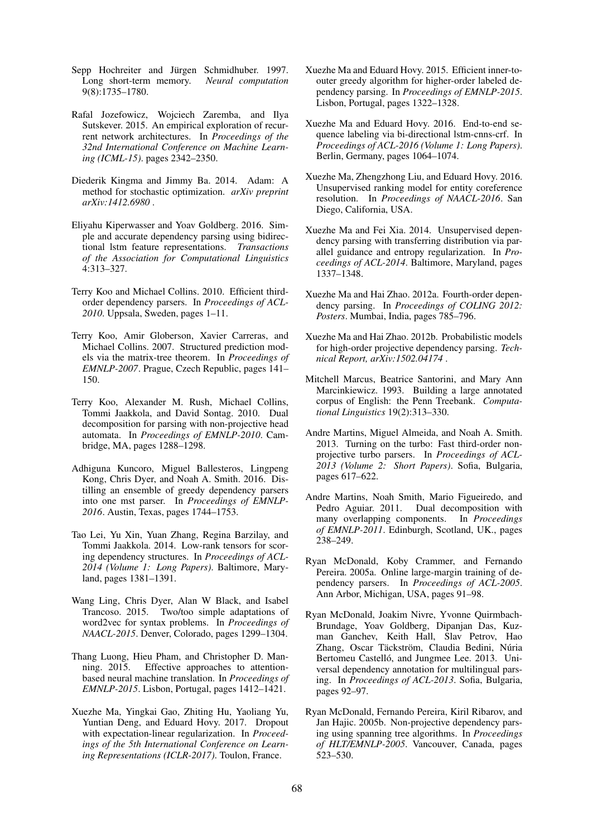- Sepp Hochreiter and Jürgen Schmidhuber. 1997. Long short-term memory. *Neural computation* 9(8):1735–1780.
- Rafal Jozefowicz, Wojciech Zaremba, and Ilya Sutskever. 2015. An empirical exploration of recurrent network architectures. In *Proceedings of the 32nd International Conference on Machine Learning (ICML-15)*. pages 2342–2350.
- Diederik Kingma and Jimmy Ba. 2014. Adam: A method for stochastic optimization. *arXiv preprint arXiv:1412.6980* .
- Eliyahu Kiperwasser and Yoav Goldberg. 2016. Simple and accurate dependency parsing using bidirectional lstm feature representations. *Transactions of the Association for Computational Linguistics* 4:313–327.
- Terry Koo and Michael Collins. 2010. Efficient thirdorder dependency parsers. In *Proceedings of ACL-2010*. Uppsala, Sweden, pages 1–11.
- Terry Koo, Amir Globerson, Xavier Carreras, and Michael Collins. 2007. Structured prediction models via the matrix-tree theorem. In *Proceedings of EMNLP-2007*. Prague, Czech Republic, pages 141– 150.
- Terry Koo, Alexander M. Rush, Michael Collins, Tommi Jaakkola, and David Sontag. 2010. Dual decomposition for parsing with non-projective head automata. In *Proceedings of EMNLP-2010*. Cambridge, MA, pages 1288–1298.
- Adhiguna Kuncoro, Miguel Ballesteros, Lingpeng Kong, Chris Dyer, and Noah A. Smith. 2016. Distilling an ensemble of greedy dependency parsers into one mst parser. In *Proceedings of EMNLP-2016*. Austin, Texas, pages 1744–1753.
- Tao Lei, Yu Xin, Yuan Zhang, Regina Barzilay, and Tommi Jaakkola. 2014. Low-rank tensors for scoring dependency structures. In *Proceedings of ACL-2014 (Volume 1: Long Papers)*. Baltimore, Maryland, pages 1381–1391.
- Wang Ling, Chris Dyer, Alan W Black, and Isabel Trancoso. 2015. Two/too simple adaptations of word2vec for syntax problems. In *Proceedings of NAACL-2015*. Denver, Colorado, pages 1299–1304.
- Thang Luong, Hieu Pham, and Christopher D. Manning. 2015. Effective approaches to attentionbased neural machine translation. In *Proceedings of EMNLP-2015*. Lisbon, Portugal, pages 1412–1421.
- Xuezhe Ma, Yingkai Gao, Zhiting Hu, Yaoliang Yu, Yuntian Deng, and Eduard Hovy. 2017. Dropout with expectation-linear regularization. In *Proceedings of the 5th International Conference on Learning Representations (ICLR-2017)*. Toulon, France.
- Xuezhe Ma and Eduard Hovy. 2015. Efficient inner-toouter greedy algorithm for higher-order labeled dependency parsing. In *Proceedings of EMNLP-2015*. Lisbon, Portugal, pages 1322–1328.
- Xuezhe Ma and Eduard Hovy. 2016. End-to-end sequence labeling via bi-directional lstm-cnns-crf. In *Proceedings of ACL-2016 (Volume 1: Long Papers)*. Berlin, Germany, pages 1064–1074.
- Xuezhe Ma, Zhengzhong Liu, and Eduard Hovy. 2016. Unsupervised ranking model for entity coreference resolution. In *Proceedings of NAACL-2016*. San Diego, California, USA.
- Xuezhe Ma and Fei Xia. 2014. Unsupervised dependency parsing with transferring distribution via parallel guidance and entropy regularization. In *Proceedings of ACL-2014*. Baltimore, Maryland, pages 1337–1348.
- Xuezhe Ma and Hai Zhao. 2012a. Fourth-order dependency parsing. In *Proceedings of COLING 2012: Posters*. Mumbai, India, pages 785–796.
- Xuezhe Ma and Hai Zhao. 2012b. Probabilistic models for high-order projective dependency parsing. *Technical Report, arXiv:1502.04174* .
- Mitchell Marcus, Beatrice Santorini, and Mary Ann Marcinkiewicz. 1993. Building a large annotated corpus of English: the Penn Treebank. *Computational Linguistics* 19(2):313–330.
- Andre Martins, Miguel Almeida, and Noah A. Smith. 2013. Turning on the turbo: Fast third-order nonprojective turbo parsers. In *Proceedings of ACL-2013 (Volume 2: Short Papers)*. Sofia, Bulgaria, pages 617–622.
- Andre Martins, Noah Smith, Mario Figueiredo, and Pedro Aguiar. 2011. Dual decomposition with many overlapping components. In *Proceedings of EMNLP-2011*. Edinburgh, Scotland, UK., pages 238–249.
- Ryan McDonald, Koby Crammer, and Fernando Pereira. 2005a. Online large-margin training of dependency parsers. In *Proceedings of ACL-2005*. Ann Arbor, Michigan, USA, pages 91–98.
- Ryan McDonald, Joakim Nivre, Yvonne Quirmbach-Brundage, Yoav Goldberg, Dipanjan Das, Kuzman Ganchev, Keith Hall, Slav Petrov, Hao Zhang, Oscar Täckström, Claudia Bedini, Núria Bertomeu Castelló, and Jungmee Lee. 2013. Universal dependency annotation for multilingual parsing. In *Proceedings of ACL-2013*. Sofia, Bulgaria, pages 92–97.
- Ryan McDonald, Fernando Pereira, Kiril Ribarov, and Jan Hajic. 2005b. Non-projective dependency parsing using spanning tree algorithms. In *Proceedings of HLT/EMNLP-2005*. Vancouver, Canada, pages 523–530.